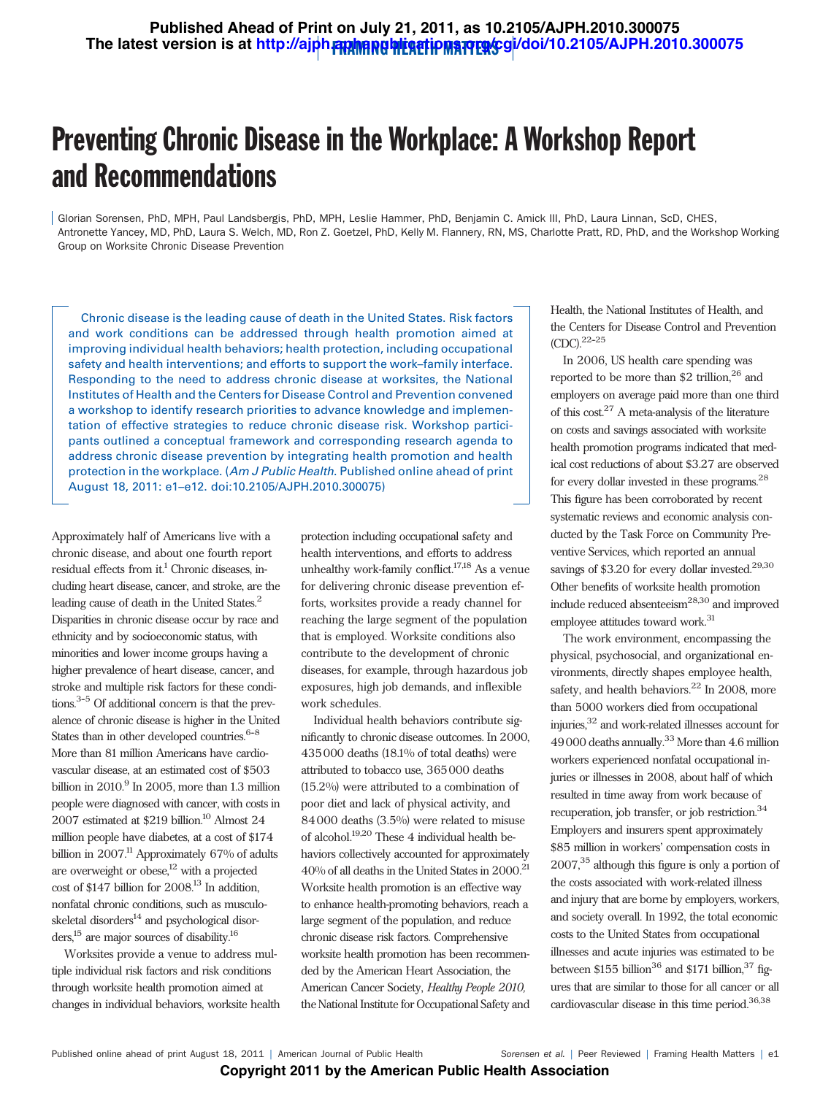# Preventing Chronic Disease in the Workplace: A Workshop Report and Recommendations

Glorian Sorensen, PhD, MPH, Paul Landsbergis, PhD, MPH, Leslie Hammer, PhD, Benjamin C. Amick III, PhD, Laura Linnan, ScD, CHES, Antronette Yancey, MD, PhD, Laura S. Welch, MD, Ron Z. Goetzel, PhD, Kelly M. Flannery, RN, MS, Charlotte Pratt, RD, PhD, and the Workshop Working Group on Worksite Chronic Disease Prevention

Chronic disease is the leading cause of death in the United States. Risk factors and work conditions can be addressed through health promotion aimed at improving individual health behaviors; health protection, including occupational safety and health interventions; and efforts to support the work–family interface. Responding to the need to address chronic disease at worksites, the National Institutes of Health and the Centers for Disease Control and Prevention convened a workshop to identify research priorities to advance knowledge and implementation of effective strategies to reduce chronic disease risk. Workshop participants outlined a conceptual framework and corresponding research agenda to address chronic disease prevention by integrating health promotion and health protection in the workplace. (Am J Public Health. Published online ahead of print August 18, 2011: e1–e12. doi:10.2105/AJPH.2010.300075)

Approximately half of Americans live with a chronic disease, and about one fourth report residual effects from it.<sup>1</sup> Chronic diseases, including heart disease, cancer, and stroke, are the leading cause of death in the United States.<sup>2</sup> Disparities in chronic disease occur by race and ethnicity and by socioeconomic status, with minorities and lower income groups having a higher prevalence of heart disease, cancer, and stroke and multiple risk factors for these conditions. $3-5$  Of additional concern is that the prevalence of chronic disease is higher in the United States than in other developed countries. $6-8$ More than 81 million Americans have cardiovascular disease, at an estimated cost of \$503 billion in 2010.<sup>9</sup> In 2005, more than 1.3 million people were diagnosed with cancer, with costs in 2007 estimated at \$219 billion.10 Almost 24 million people have diabetes, at a cost of \$174 billion in 2007.<sup>11</sup> Approximately 67% of adults are overweight or obese,<sup>12</sup> with a projected cost of \$147 billion for 2008.13 In addition, nonfatal chronic conditions, such as musculo $s$ keletal disorders<sup>14</sup> and psychological disorders,15 are major sources of disability.16

Worksites provide a venue to address multiple individual risk factors and risk conditions through worksite health promotion aimed at changes in individual behaviors, worksite health protection including occupational safety and health interventions, and efforts to address unhealthy work-family conflict.17,18 As a venue for delivering chronic disease prevention efforts, worksites provide a ready channel for reaching the large segment of the population that is employed. Worksite conditions also contribute to the development of chronic diseases, for example, through hazardous job exposures, high job demands, and inflexible work schedules.

Individual health behaviors contribute significantly to chronic disease outcomes. In 2000, 435000 deaths (18.1% of total deaths) were attributed to tobacco use, 365000 deaths (15.2%) were attributed to a combination of poor diet and lack of physical activity, and 84 000 deaths (3.5%) were related to misuse of alcohol.19,20 These 4 individual health behaviors collectively accounted for approximately 40% of all deaths in the United States in 2000.21 Worksite health promotion is an effective way to enhance health-promoting behaviors, reach a large segment of the population, and reduce chronic disease risk factors. Comprehensive worksite health promotion has been recommended by the American Heart Association, the American Cancer Society, Healthy People 2010, the National Institute for Occupational Safety and

Health, the National Institutes of Health, and the Centers for Disease Control and Prevention  $(CDC)^{22-25}$ 

In 2006, US health care spending was reported to be more than  $$2$  trillion,<sup>26</sup> and employers on average paid more than one third of this cost. $27$  A meta-analysis of the literature on costs and savings associated with worksite health promotion programs indicated that medical cost reductions of about \$3.27 are observed for every dollar invested in these programs.28 This figure has been corroborated by recent systematic reviews and economic analysis conducted by the Task Force on Community Preventive Services, which reported an annual savings of \$3.20 for every dollar invested.<sup>29,30</sup> Other benefits of worksite health promotion include reduced absenteeism<sup>28,30</sup> and improved employee attitudes toward work.<sup>31</sup>

The work environment, encompassing the physical, psychosocial, and organizational environments, directly shapes employee health, safety, and health behaviors.<sup>22</sup> In 2008, more than 5000 workers died from occupational injuries,32 and work-related illnesses account for 49000 deaths annually.33 More than 4.6 million workers experienced nonfatal occupational injuries or illnesses in 2008, about half of which resulted in time away from work because of recuperation, job transfer, or job restriction.<sup>34</sup> Employers and insurers spent approximately \$85 million in workers' compensation costs in  $2007<sup>35</sup>$  although this figure is only a portion of the costs associated with work-related illness and injury that are borne by employers, workers, and society overall. In 1992, the total economic costs to the United States from occupational illnesses and acute injuries was estimated to be between \$155 billion<sup>36</sup> and \$171 billion,<sup>37</sup> figures that are similar to those for all cancer or all cardiovascular disease in this time period.36,38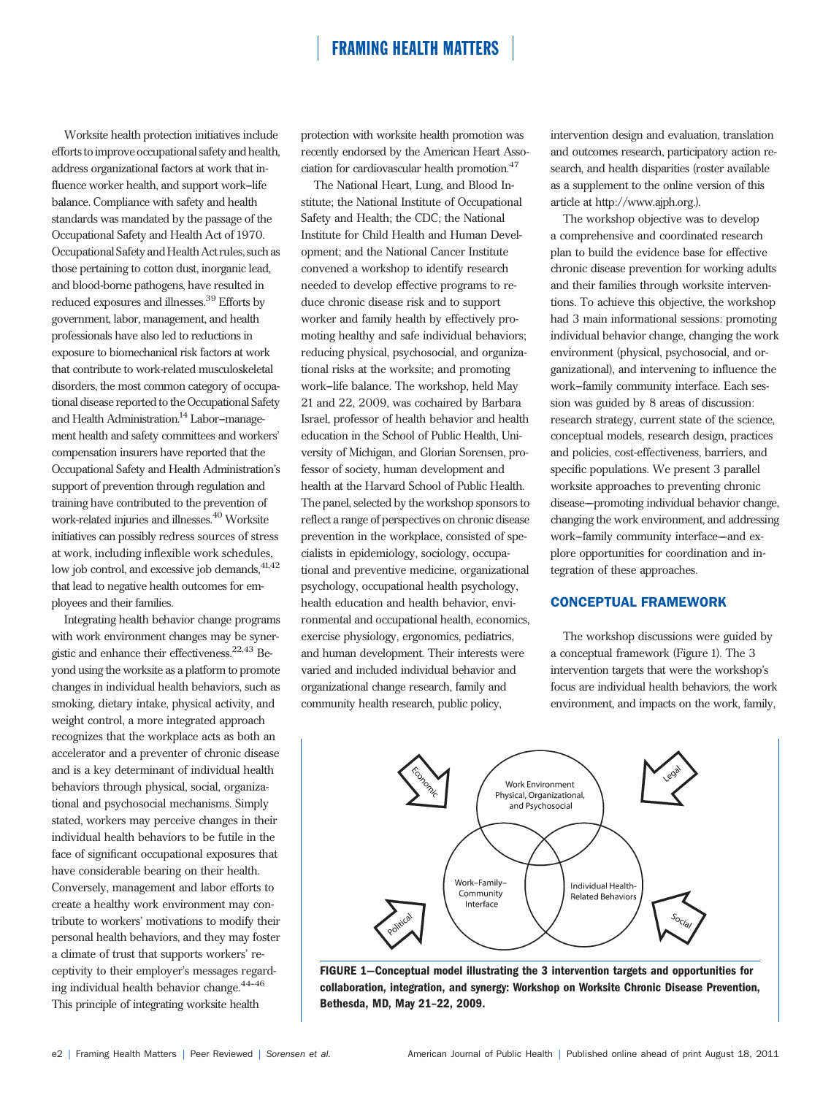Worksite health protection initiatives include efforts to improve occupational safety and health, address organizational factors at work that influence worker health, and support work-life balance. Compliance with safety and health standards was mandated by the passage of the Occupational Safety and Health Act of 1970. Occupational Safety and Health Act rules, such as those pertaining to cotton dust, inorganic lead, and blood-borne pathogens, have resulted in reduced exposures and illnesses.39 Efforts by government, labor, management, and health professionals have also led to reductions in exposure to biomechanical risk factors at work that contribute to work-related musculoskeletal disorders, the most common category of occupational disease reported to the Occupational Safety and Health Administration.<sup>14</sup> Labor-management health and safety committees and workers' compensation insurers have reported that the Occupational Safety and Health Administration's support of prevention through regulation and training have contributed to the prevention of work-related injuries and illnesses.40 Worksite initiatives can possibly redress sources of stress at work, including inflexible work schedules, low job control, and excessive job demands,  $41,42$ that lead to negative health outcomes for employees and their families.

Integrating health behavior change programs with work environment changes may be synergistic and enhance their effectiveness.  $22,43$  Beyond using the worksite as a platform to promote changes in individual health behaviors, such as smoking, dietary intake, physical activity, and weight control, a more integrated approach recognizes that the workplace acts as both an accelerator and a preventer of chronic disease and is a key determinant of individual health behaviors through physical, social, organizational and psychosocial mechanisms. Simply stated, workers may perceive changes in their individual health behaviors to be futile in the face of significant occupational exposures that have considerable bearing on their health. Conversely, management and labor efforts to create a healthy work environment may contribute to workers' motivations to modify their personal health behaviors, and they may foster a climate of trust that supports workers' receptivity to their employer's messages regarding individual health behavior change. $44-46$ This principle of integrating worksite health

protection with worksite health promotion was recently endorsed by the American Heart Association for cardiovascular health promotion.47

The National Heart, Lung, and Blood Institute; the National Institute of Occupational Safety and Health; the CDC; the National Institute for Child Health and Human Development; and the National Cancer Institute convened a workshop to identify research needed to develop effective programs to reduce chronic disease risk and to support worker and family health by effectively promoting healthy and safe individual behaviors; reducing physical, psychosocial, and organizational risks at the worksite; and promoting work-life balance. The workshop, held May 21 and 22, 2009, was cochaired by Barbara Israel, professor of health behavior and health education in the School of Public Health, University of Michigan, and Glorian Sorensen, professor of society, human development and health at the Harvard School of Public Health. The panel, selected by the workshop sponsors to reflect a range of perspectives on chronic disease prevention in the workplace, consisted of specialists in epidemiology, sociology, occupational and preventive medicine, organizational psychology, occupational health psychology, health education and health behavior, environmental and occupational health, economics, exercise physiology, ergonomics, pediatrics, and human development. Their interests were varied and included individual behavior and organizational change research, family and community health research, public policy,

intervention design and evaluation, translation and outcomes research, participatory action research, and health disparities (roster available as a supplement to the online version of this article at http://www.ajph.org.).

The workshop objective was to develop a comprehensive and coordinated research plan to build the evidence base for effective chronic disease prevention for working adults and their families through worksite interventions. To achieve this objective, the workshop had 3 main informational sessions: promoting individual behavior change, changing the work environment (physical, psychosocial, and organizational), and intervening to influence the work-family community interface. Each session was guided by 8 areas of discussion: research strategy, current state of the science, conceptual models, research design, practices and policies, cost-effectiveness, barriers, and specific populations. We present 3 parallel worksite approaches to preventing chronic disease––promoting individual behavior change, changing the work environment, and addressing work-family community interface-and explore opportunities for coordination and integration of these approaches.

### CONCEPTUAL FRAMEWORK

The workshop discussions were guided by a conceptual framework (Figure 1). The 3 intervention targets that were the workshop's focus are individual health behaviors, the work environment, and impacts on the work, family,



FIGURE 1—Conceptual model illustrating the 3 intervention targets and opportunities for collaboration, integration, and synergy: Workshop on Worksite Chronic Disease Prevention, Bethesda, MD, May 21–22, 2009.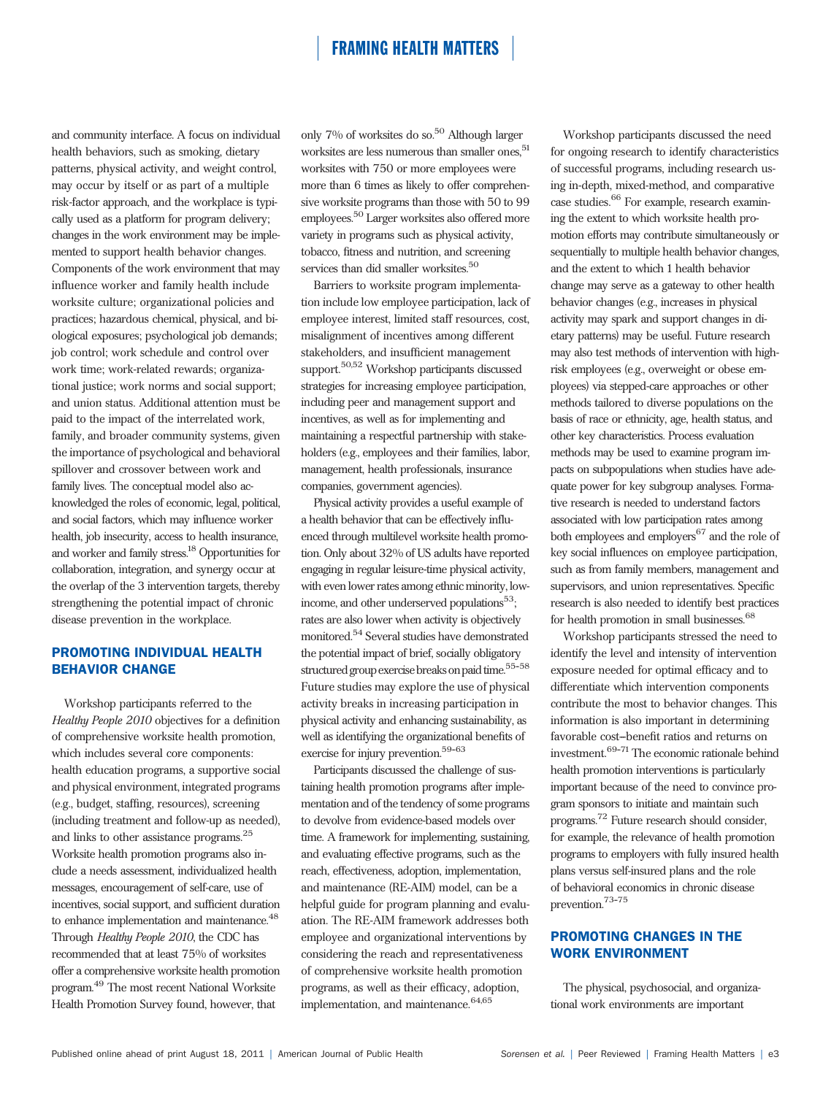and community interface. A focus on individual health behaviors, such as smoking, dietary patterns, physical activity, and weight control, may occur by itself or as part of a multiple risk-factor approach, and the workplace is typically used as a platform for program delivery; changes in the work environment may be implemented to support health behavior changes. Components of the work environment that may influence worker and family health include worksite culture; organizational policies and practices; hazardous chemical, physical, and biological exposures; psychological job demands; job control; work schedule and control over work time; work-related rewards; organizational justice; work norms and social support; and union status. Additional attention must be paid to the impact of the interrelated work, family, and broader community systems, given the importance of psychological and behavioral spillover and crossover between work and family lives. The conceptual model also acknowledged the roles of economic, legal, political, and social factors, which may influence worker health, job insecurity, access to health insurance, and worker and family stress.18 Opportunities for collaboration, integration, and synergy occur at the overlap of the 3 intervention targets, thereby strengthening the potential impact of chronic disease prevention in the workplace.

### PROMOTING INDIVIDUAL HEALTH BEHAVIOR CHANGE

Workshop participants referred to the Healthy People 2010 objectives for a definition of comprehensive worksite health promotion, which includes several core components: health education programs, a supportive social and physical environment, integrated programs (e.g., budget, staffing, resources), screening (including treatment and follow-up as needed), and links to other assistance programs.<sup>25</sup> Worksite health promotion programs also include a needs assessment, individualized health messages, encouragement of self-care, use of incentives, social support, and sufficient duration to enhance implementation and maintenance.<sup>48</sup> Through Healthy People 2010, the CDC has recommended that at least 75% of worksites offer a comprehensive worksite health promotion program.49 The most recent National Worksite Health Promotion Survey found, however, that

only 7% of worksites do so.<sup>50</sup> Although larger worksites are less numerous than smaller ones,<sup>51</sup> worksites with 750 or more employees were more than 6 times as likely to offer comprehensive worksite programs than those with 50 to 99 employees.50 Larger worksites also offered more variety in programs such as physical activity, tobacco, fitness and nutrition, and screening services than did smaller worksites.<sup>50</sup>

Barriers to worksite program implementation include low employee participation, lack of employee interest, limited staff resources, cost, misalignment of incentives among different stakeholders, and insufficient management support.50,52 Workshop participants discussed strategies for increasing employee participation, including peer and management support and incentives, as well as for implementing and maintaining a respectful partnership with stakeholders (e.g., employees and their families, labor, management, health professionals, insurance companies, government agencies).

Physical activity provides a useful example of a health behavior that can be effectively influenced through multilevel worksite health promotion. Only about 32% of US adults have reported engaging in regular leisure-time physical activity, with even lower rates among ethnic minority, lowincome, and other underserved populations<sup>53</sup>; rates are also lower when activity is objectively monitored.<sup>54</sup> Several studies have demonstrated the potential impact of brief, socially obligatory structured group exercise breaks on paid time.<sup>55-58</sup> Future studies may explore the use of physical activity breaks in increasing participation in physical activity and enhancing sustainability, as well as identifying the organizational benefits of exercise for injury prevention. $59-63$ 

Participants discussed the challenge of sustaining health promotion programs after implementation and of the tendency of some programs to devolve from evidence-based models over time. A framework for implementing, sustaining, and evaluating effective programs, such as the reach, effectiveness, adoption, implementation, and maintenance (RE-AIM) model, can be a helpful guide for program planning and evaluation. The RE-AIM framework addresses both employee and organizational interventions by considering the reach and representativeness of comprehensive worksite health promotion programs, as well as their efficacy, adoption, implementation, and maintenance.  $64,65$ 

Workshop participants discussed the need for ongoing research to identify characteristics of successful programs, including research using in-depth, mixed-method, and comparative case studies.<sup>66</sup> For example, research examining the extent to which worksite health promotion efforts may contribute simultaneously or sequentially to multiple health behavior changes, and the extent to which 1 health behavior change may serve as a gateway to other health behavior changes (e.g., increases in physical activity may spark and support changes in dietary patterns) may be useful. Future research may also test methods of intervention with highrisk employees (e.g., overweight or obese employees) via stepped-care approaches or other methods tailored to diverse populations on the basis of race or ethnicity, age, health status, and other key characteristics. Process evaluation methods may be used to examine program impacts on subpopulations when studies have adequate power for key subgroup analyses. Formative research is needed to understand factors associated with low participation rates among both employees and employers<sup>67</sup> and the role of key social influences on employee participation, such as from family members, management and supervisors, and union representatives. Specific research is also needed to identify best practices for health promotion in small businesses.<sup>68</sup>

Workshop participants stressed the need to identify the level and intensity of intervention exposure needed for optimal efficacy and to differentiate which intervention components contribute the most to behavior changes. This information is also important in determining favorable cost--benefit ratios and returns on investment. $69-71$  The economic rationale behind health promotion interventions is particularly important because of the need to convince program sponsors to initiate and maintain such programs.72 Future research should consider, for example, the relevance of health promotion programs to employers with fully insured health plans versus self-insured plans and the role of behavioral economics in chronic disease prevention.<sup>73-75</sup>

### PROMOTING CHANGES IN THE WORK ENVIRONMENT

The physical, psychosocial, and organizational work environments are important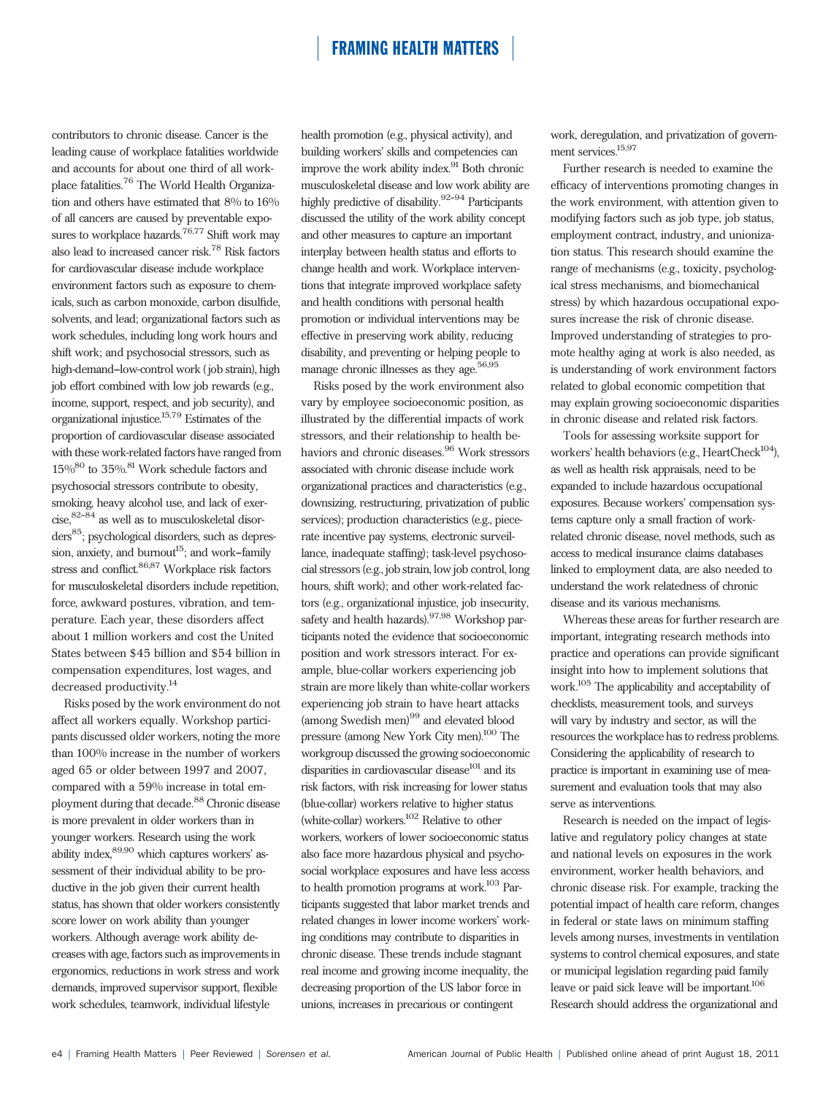contributors to chronic disease. Cancer is the leading cause of workplace fatalities worldwide and accounts for about one third of all workplace fatalities.<sup>76</sup> The World Health Organization and others have estimated that 8% to 16% of all cancers are caused by preventable exposures to workplace hazards.<sup>76,77</sup> Shift work may also lead to increased cancer risk.78 Risk factors for cardiovascular disease include workplace environment factors such as exposure to chemicals, such as carbon monoxide, carbon disulfide, solvents, and lead; organizational factors such as work schedules, including long work hours and shift work; and psychosocial stressors, such as high-demand--low-control work (job strain), high job effort combined with low job rewards (e.g., income, support, respect, and job security), and organizational injustice.15,79 Estimates of the proportion of cardiovascular disease associated with these work-related factors have ranged from  $15\% ^{80}$  to  $35\% ^{81}$  Work schedule factors and psychosocial stressors contribute to obesity, smoking, heavy alcohol use, and lack of exer $cise$ ,  $82-84$  as well as to musculoskeletal disorders<sup>85</sup>; psychological disorders, such as depression, anxiety, and burnout $^{15}$ ; and work-family stress and conflict.<sup>86,87</sup> Workplace risk factors for musculoskeletal disorders include repetition, force, awkward postures, vibration, and temperature. Each year, these disorders affect about 1 million workers and cost the United States between \$45 billion and \$54 billion in compensation expenditures, lost wages, and decreased productivity.<sup>14</sup>

Risks posed by the work environment do not affect all workers equally. Workshop participants discussed older workers, noting the more than 100% increase in the number of workers aged 65 or older between 1997 and 2007, compared with a 59% increase in total employment during that decade.<sup>88</sup> Chronic disease is more prevalent in older workers than in younger workers. Research using the work ability index,89,90 which captures workers' assessment of their individual ability to be productive in the job given their current health status, has shown that older workers consistently score lower on work ability than younger workers. Although average work ability decreases with age, factors such as improvements in ergonomics, reductions in work stress and work demands, improved supervisor support, flexible work schedules, teamwork, individual lifestyle

health promotion (e.g., physical activity), and building workers' skills and competencies can improve the work ability index.91 Both chronic musculoskeletal disease and low work ability are highly predictive of disability. $92-94$  Participants discussed the utility of the work ability concept and other measures to capture an important interplay between health status and efforts to change health and work. Workplace interventions that integrate improved workplace safety and health conditions with personal health promotion or individual interventions may be effective in preserving work ability, reducing disability, and preventing or helping people to manage chronic illnesses as they age. $56,95$ 

Risks posed by the work environment also vary by employee socioeconomic position, as illustrated by the differential impacts of work stressors, and their relationship to health behaviors and chronic diseases.<sup>96</sup> Work stressors associated with chronic disease include work organizational practices and characteristics (e.g., downsizing, restructuring, privatization of public services); production characteristics (e.g., piecerate incentive pay systems, electronic surveillance, inadequate staffing); task-level psychosocial stressors (e.g., job strain, low job control, long hours, shift work); and other work-related factors (e.g., organizational injustice, job insecurity, safety and health hazards).<sup>97,98</sup> Workshop participants noted the evidence that socioeconomic position and work stressors interact. For example, blue-collar workers experiencing job strain are more likely than white-collar workers experiencing job strain to have heart attacks  $\frac{\text{(among Swedish men)}^{99}}{\text{and elevated blood}}$ pressure (among New York City men).100 The workgroup discussed the growing socioeconomic disparities in cardiovascular disease $101$  and its risk factors, with risk increasing for lower status (blue-collar) workers relative to higher status (white-collar) workers.102 Relative to other workers, workers of lower socioeconomic status also face more hazardous physical and psychosocial workplace exposures and have less access to health promotion programs at work.<sup>103</sup> Participants suggested that labor market trends and related changes in lower income workers' working conditions may contribute to disparities in chronic disease. These trends include stagnant real income and growing income inequality, the decreasing proportion of the US labor force in unions, increases in precarious or contingent

work, deregulation, and privatization of government services.<sup>15,97</sup>

Further research is needed to examine the efficacy of interventions promoting changes in the work environment, with attention given to modifying factors such as job type, job status, employment contract, industry, and unionization status. This research should examine the range of mechanisms (e.g., toxicity, psychological stress mechanisms, and biomechanical stress) by which hazardous occupational exposures increase the risk of chronic disease. Improved understanding of strategies to promote healthy aging at work is also needed, as is understanding of work environment factors related to global economic competition that may explain growing socioeconomic disparities in chronic disease and related risk factors.

Tools for assessing worksite support for workers' health behaviors (e.g., HeartCheck $104$ ), as well as health risk appraisals, need to be expanded to include hazardous occupational exposures. Because workers' compensation systems capture only a small fraction of workrelated chronic disease, novel methods, such as access to medical insurance claims databases linked to employment data, are also needed to understand the work relatedness of chronic disease and its various mechanisms.

Whereas these areas for further research are important, integrating research methods into practice and operations can provide significant insight into how to implement solutions that work.<sup>105</sup> The applicability and acceptability of checklists, measurement tools, and surveys will vary by industry and sector, as will the resources the workplace has to redress problems. Considering the applicability of research to practice is important in examining use of measurement and evaluation tools that may also serve as interventions.

Research is needed on the impact of legislative and regulatory policy changes at state and national levels on exposures in the work environment, worker health behaviors, and chronic disease risk. For example, tracking the potential impact of health care reform, changes in federal or state laws on minimum staffing levels among nurses, investments in ventilation systems to control chemical exposures, and state or municipal legislation regarding paid family leave or paid sick leave will be important.<sup>106</sup> Research should address the organizational and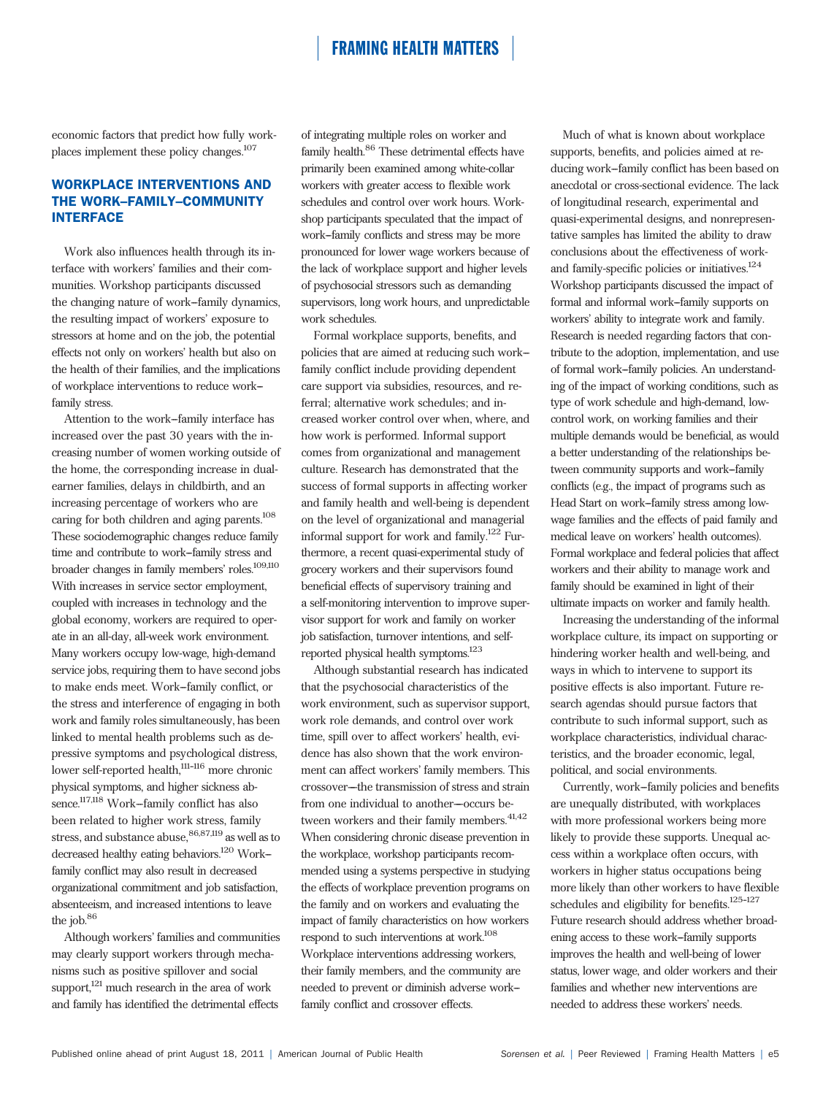economic factors that predict how fully workplaces implement these policy changes.<sup>107</sup>

### WORKPLACE INTERVENTIONS AND THE WORK–FAMILY–COMMUNITY INTERFACE

Work also influences health through its interface with workers' families and their communities. Workshop participants discussed the changing nature of work-family dynamics, the resulting impact of workers' exposure to stressors at home and on the job, the potential effects not only on workers' health but also on the health of their families, and the implications of workplace interventions to reduce workfamily stress.

Attention to the work-family interface has increased over the past 30 years with the increasing number of women working outside of the home, the corresponding increase in dualearner families, delays in childbirth, and an increasing percentage of workers who are caring for both children and aging parents.<sup>108</sup> These sociodemographic changes reduce family time and contribute to work-family stress and broader changes in family members' roles.<sup>109,110</sup> With increases in service sector employment, coupled with increases in technology and the global economy, workers are required to operate in an all-day, all-week work environment. Many workers occupy low-wage, high-demand service jobs, requiring them to have second jobs to make ends meet. Work-family conflict, or the stress and interference of engaging in both work and family roles simultaneously, has been linked to mental health problems such as depressive symptoms and psychological distress,  $lower self-reported health, <sup>111-116</sup> more chronic$ physical symptoms, and higher sickness absence.<sup>117,118</sup> Work-family conflict has also been related to higher work stress, family stress, and substance abuse,  $86,87,119$  as well as to decreased healthy eating behaviors.<sup>120</sup> Workfamily conflict may also result in decreased organizational commitment and job satisfaction, absenteeism, and increased intentions to leave the job. $86$ 

Although workers' families and communities may clearly support workers through mechanisms such as positive spillover and social support, $121$  much research in the area of work and family has identified the detrimental effects

of integrating multiple roles on worker and family health.<sup>86</sup> These detrimental effects have primarily been examined among white-collar workers with greater access to flexible work schedules and control over work hours. Workshop participants speculated that the impact of work-family conflicts and stress may be more pronounced for lower wage workers because of the lack of workplace support and higher levels of psychosocial stressors such as demanding supervisors, long work hours, and unpredictable work schedules.

Formal workplace supports, benefits, and policies that are aimed at reducing such workfamily conflict include providing dependent care support via subsidies, resources, and referral; alternative work schedules; and increased worker control over when, where, and how work is performed. Informal support comes from organizational and management culture. Research has demonstrated that the success of formal supports in affecting worker and family health and well-being is dependent on the level of organizational and managerial informal support for work and family.<sup>122</sup> Furthermore, a recent quasi-experimental study of grocery workers and their supervisors found beneficial effects of supervisory training and a self-monitoring intervention to improve supervisor support for work and family on worker job satisfaction, turnover intentions, and selfreported physical health symptoms.123

Although substantial research has indicated that the psychosocial characteristics of the work environment, such as supervisor support, work role demands, and control over work time, spill over to affect workers' health, evidence has also shown that the work environment can affect workers' family members. This crossover––the transmission of stress and strain from one individual to another-occurs between workers and their family members.<sup>41,42</sup> When considering chronic disease prevention in the workplace, workshop participants recommended using a systems perspective in studying the effects of workplace prevention programs on the family and on workers and evaluating the impact of family characteristics on how workers respond to such interventions at work.<sup>108</sup> Workplace interventions addressing workers, their family members, and the community are needed to prevent or diminish adverse workfamily conflict and crossover effects.

Much of what is known about workplace supports, benefits, and policies aimed at reducing work-family conflict has been based on anecdotal or cross-sectional evidence. The lack of longitudinal research, experimental and quasi-experimental designs, and nonrepresentative samples has limited the ability to draw conclusions about the effectiveness of workand family-specific policies or initiatives.<sup>124</sup> Workshop participants discussed the impact of formal and informal work--family supports on workers' ability to integrate work and family. Research is needed regarding factors that contribute to the adoption, implementation, and use of formal work--family policies. An understanding of the impact of working conditions, such as type of work schedule and high-demand, lowcontrol work, on working families and their multiple demands would be beneficial, as would a better understanding of the relationships between community supports and work-family conflicts (e.g., the impact of programs such as Head Start on work-family stress among lowwage families and the effects of paid family and medical leave on workers' health outcomes). Formal workplace and federal policies that affect workers and their ability to manage work and family should be examined in light of their ultimate impacts on worker and family health.

Increasing the understanding of the informal workplace culture, its impact on supporting or hindering worker health and well-being, and ways in which to intervene to support its positive effects is also important. Future research agendas should pursue factors that contribute to such informal support, such as workplace characteristics, individual characteristics, and the broader economic, legal, political, and social environments.

Currently, work-family policies and benefits are unequally distributed, with workplaces with more professional workers being more likely to provide these supports. Unequal access within a workplace often occurs, with workers in higher status occupations being more likely than other workers to have flexible schedules and eligibility for benefits. $125-127$ Future research should address whether broadening access to these work-family supports improves the health and well-being of lower status, lower wage, and older workers and their families and whether new interventions are needed to address these workers' needs.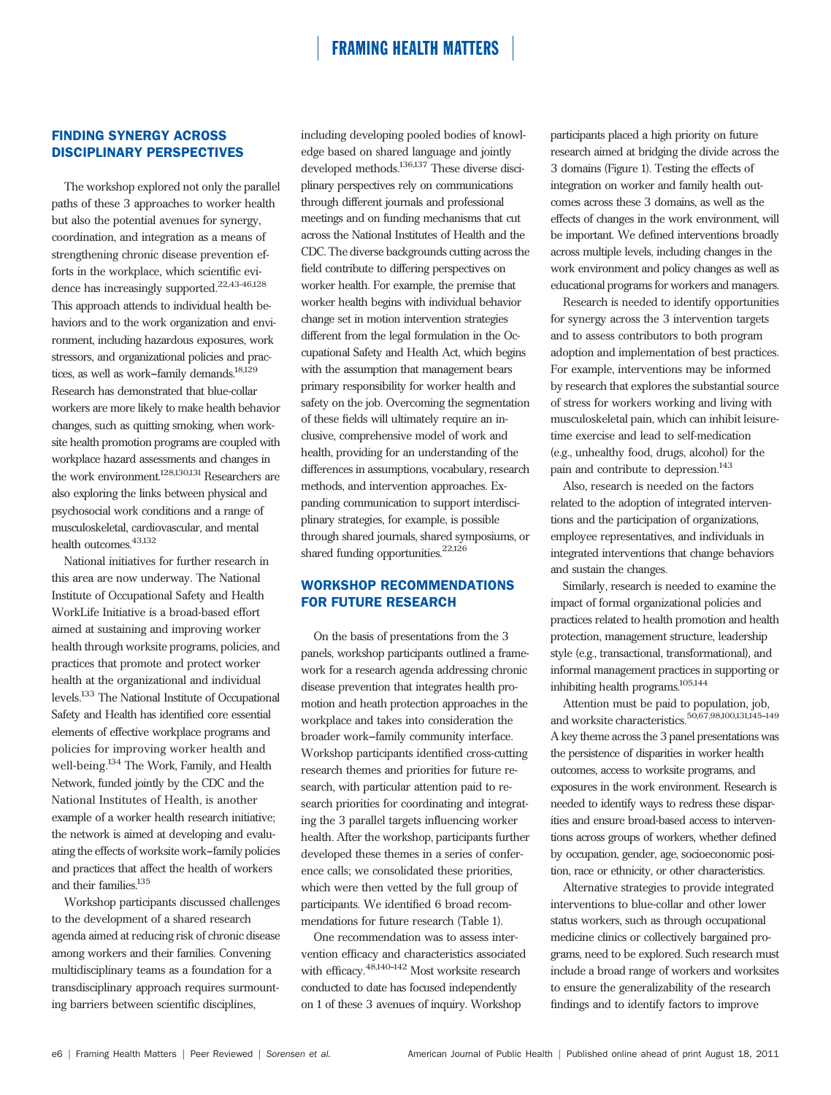### FINDING SYNERGY ACROSS DISCIPLINARY PERSPECTIVES

The workshop explored not only the parallel paths of these 3 approaches to worker health but also the potential avenues for synergy, coordination, and integration as a means of strengthening chronic disease prevention efforts in the workplace, which scientific evidence has increasingly supported. $22,43-46,128$ This approach attends to individual health behaviors and to the work organization and environment, including hazardous exposures, work stressors, and organizational policies and practices, as well as work--family demands. $18,129$ Research has demonstrated that blue-collar workers are more likely to make health behavior changes, such as quitting smoking, when worksite health promotion programs are coupled with workplace hazard assessments and changes in the work environment.<sup>128,130,131</sup> Researchers are also exploring the links between physical and psychosocial work conditions and a range of musculoskeletal, cardiovascular, and mental health outcomes.43,132

National initiatives for further research in this area are now underway. The National Institute of Occupational Safety and Health WorkLife Initiative is a broad-based effort aimed at sustaining and improving worker health through worksite programs, policies, and practices that promote and protect worker health at the organizational and individual levels.133 The National Institute of Occupational Safety and Health has identified core essential elements of effective workplace programs and policies for improving worker health and well-being.134 The Work, Family, and Health Network, funded jointly by the CDC and the National Institutes of Health, is another example of a worker health research initiative; the network is aimed at developing and evaluating the effects of worksite work-family policies and practices that affect the health of workers and their families.<sup>135</sup>

Workshop participants discussed challenges to the development of a shared research agenda aimed at reducing risk of chronic disease among workers and their families. Convening multidisciplinary teams as a foundation for a transdisciplinary approach requires surmounting barriers between scientific disciplines,

including developing pooled bodies of knowledge based on shared language and jointly developed methods.136,137 These diverse disciplinary perspectives rely on communications through different journals and professional meetings and on funding mechanisms that cut across the National Institutes of Health and the CDC. The diverse backgrounds cutting across the field contribute to differing perspectives on worker health. For example, the premise that worker health begins with individual behavior change set in motion intervention strategies different from the legal formulation in the Occupational Safety and Health Act, which begins with the assumption that management bears primary responsibility for worker health and safety on the job. Overcoming the segmentation of these fields will ultimately require an inclusive, comprehensive model of work and health, providing for an understanding of the differences in assumptions, vocabulary, research methods, and intervention approaches. Expanding communication to support interdisciplinary strategies, for example, is possible through shared journals, shared symposiums, or shared funding opportunities. $22,126$ 

### WORKSHOP RECOMMENDATIONS FOR FUTURE RESEARCH

On the basis of presentations from the 3 panels, workshop participants outlined a framework for a research agenda addressing chronic disease prevention that integrates health promotion and heath protection approaches in the workplace and takes into consideration the broader work--family community interface. Workshop participants identified cross-cutting research themes and priorities for future research, with particular attention paid to research priorities for coordinating and integrating the 3 parallel targets influencing worker health. After the workshop, participants further developed these themes in a series of conference calls; we consolidated these priorities, which were then vetted by the full group of participants. We identified 6 broad recommendations for future research (Table 1).

One recommendation was to assess intervention efficacy and characteristics associated with efficacy.<sup>48,140-142</sup> Most worksite research conducted to date has focused independently on 1 of these 3 avenues of inquiry. Workshop

participants placed a high priority on future research aimed at bridging the divide across the 3 domains (Figure 1). Testing the effects of integration on worker and family health outcomes across these 3 domains, as well as the effects of changes in the work environment, will be important. We defined interventions broadly across multiple levels, including changes in the work environment and policy changes as well as educational programs for workers and managers.

Research is needed to identify opportunities for synergy across the 3 intervention targets and to assess contributors to both program adoption and implementation of best practices. For example, interventions may be informed by research that explores the substantial source of stress for workers working and living with musculoskeletal pain, which can inhibit leisuretime exercise and lead to self-medication (e.g., unhealthy food, drugs, alcohol) for the pain and contribute to depression.<sup>143</sup>

Also, research is needed on the factors related to the adoption of integrated interventions and the participation of organizations, employee representatives, and individuals in integrated interventions that change behaviors and sustain the changes.

Similarly, research is needed to examine the impact of formal organizational policies and practices related to health promotion and health protection, management structure, leadership style (e.g., transactional, transformational), and informal management practices in supporting or inhibiting health programs.105,144

Attention must be paid to population, job, and worksite characteristics. $50,67,98,100,131,145$ -149 A key theme across the 3 panel presentations was the persistence of disparities in worker health outcomes, access to worksite programs, and exposures in the work environment. Research is needed to identify ways to redress these disparities and ensure broad-based access to interventions across groups of workers, whether defined by occupation, gender, age, socioeconomic position, race or ethnicity, or other characteristics.

Alternative strategies to provide integrated interventions to blue-collar and other lower status workers, such as through occupational medicine clinics or collectively bargained programs, need to be explored. Such research must include a broad range of workers and worksites to ensure the generalizability of the research findings and to identify factors to improve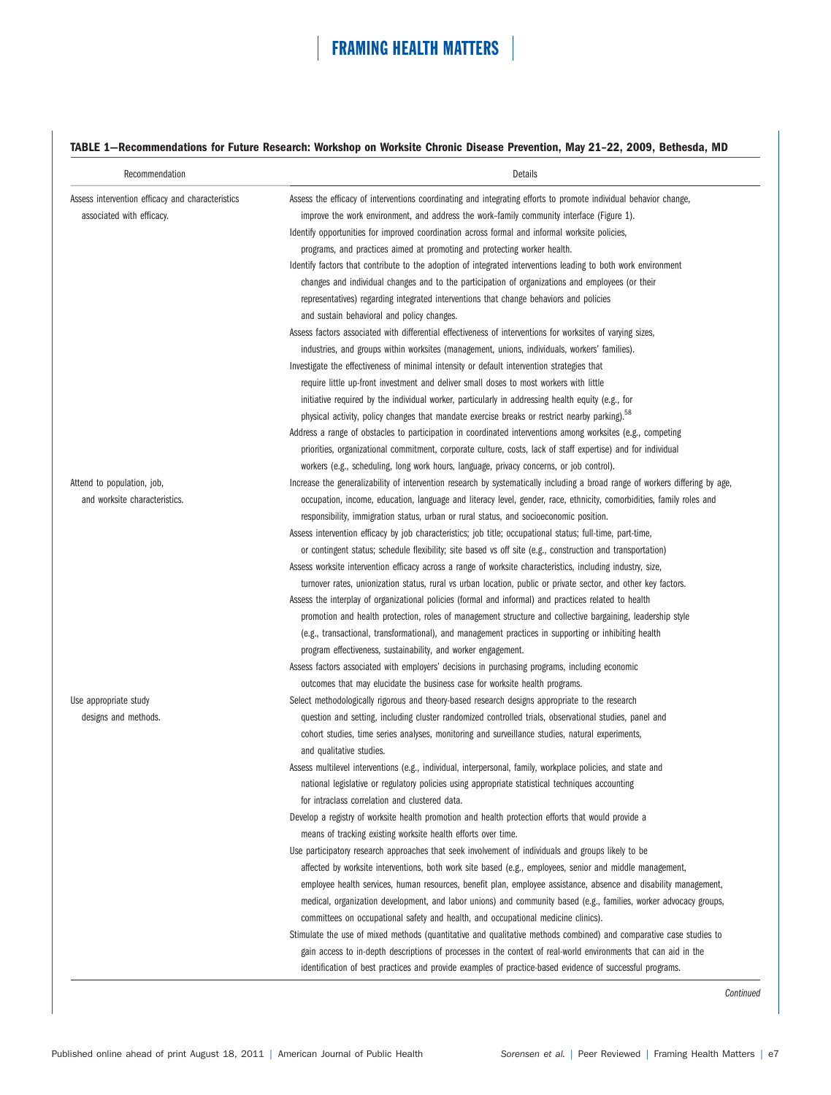### TABLE 1—Recommendations for Future Research: Workshop on Worksite Chronic Disease Prevention, May 21–22, 2009, Bethesda, MD

| Recommendation                                                                | Details                                                                                                                                                                                                                                                                                                                                                                                                                                                                                                                                                                                                                                                                                                                                                                                                                                                                                                                                                                                                                                                                                                                                                                                                                                                                                                                                                                                                                                                                                          |
|-------------------------------------------------------------------------------|--------------------------------------------------------------------------------------------------------------------------------------------------------------------------------------------------------------------------------------------------------------------------------------------------------------------------------------------------------------------------------------------------------------------------------------------------------------------------------------------------------------------------------------------------------------------------------------------------------------------------------------------------------------------------------------------------------------------------------------------------------------------------------------------------------------------------------------------------------------------------------------------------------------------------------------------------------------------------------------------------------------------------------------------------------------------------------------------------------------------------------------------------------------------------------------------------------------------------------------------------------------------------------------------------------------------------------------------------------------------------------------------------------------------------------------------------------------------------------------------------|
| Assess intervention efficacy and characteristics<br>associated with efficacy. | Assess the efficacy of interventions coordinating and integrating efforts to promote individual behavior change,<br>improve the work environment, and address the work-family community interface (Figure 1).<br>Identify opportunities for improved coordination across formal and informal worksite policies,<br>programs, and practices aimed at promoting and protecting worker health.<br>Identify factors that contribute to the adoption of integrated interventions leading to both work environment<br>changes and individual changes and to the participation of organizations and employees (or their<br>representatives) regarding integrated interventions that change behaviors and policies<br>and sustain behavioral and policy changes.<br>Assess factors associated with differential effectiveness of interventions for worksites of varying sizes,<br>industries, and groups within worksites (management, unions, individuals, workers' families).<br>Investigate the effectiveness of minimal intensity or default intervention strategies that<br>require little up-front investment and deliver small doses to most workers with little<br>initiative required by the individual worker, particularly in addressing health equity (e.g., for<br>physical activity, policy changes that mandate exercise breaks or restrict nearby parking). <sup>58</sup><br>Address a range of obstacles to participation in coordinated interventions among worksites (e.g., competing |
| Attend to population, job,<br>and worksite characteristics.                   | priorities, organizational commitment, corporate culture, costs, lack of staff expertise) and for individual<br>workers (e.g., scheduling, long work hours, language, privacy concerns, or job control).<br>Increase the generalizability of intervention research by systematically including a broad range of workers differing by age,<br>occupation, income, education, language and literacy level, gender, race, ethnicity, comorbidities, family roles and<br>responsibility, immigration status, urban or rural status, and socioeconomic position.<br>Assess intervention efficacy by job characteristics; job title; occupational status; full-time, part-time,<br>or contingent status; schedule flexibility; site based vs off site (e.g., construction and transportation)<br>Assess worksite intervention efficacy across a range of worksite characteristics, including industry, size,<br>turnover rates, unionization status, rural vs urban location, public or private sector, and other key factors.<br>Assess the interplay of organizational policies (formal and informal) and practices related to health<br>promotion and health protection, roles of management structure and collective bargaining, leadership style<br>e.g., transactional, transformational), and management practices in supporting or inhibiting health)                                                                                                                                          |
|                                                                               | program effectiveness, sustainability, and worker engagement.<br>Assess factors associated with employers' decisions in purchasing programs, including economic                                                                                                                                                                                                                                                                                                                                                                                                                                                                                                                                                                                                                                                                                                                                                                                                                                                                                                                                                                                                                                                                                                                                                                                                                                                                                                                                  |
| Use appropriate study<br>designs and methods.                                 | outcomes that may elucidate the business case for worksite health programs.<br>Select methodologically rigorous and theory-based research designs appropriate to the research<br>question and setting, including cluster randomized controlled trials, observational studies, panel and<br>cohort studies, time series analyses, monitoring and surveillance studies, natural experiments,<br>and qualitative studies.                                                                                                                                                                                                                                                                                                                                                                                                                                                                                                                                                                                                                                                                                                                                                                                                                                                                                                                                                                                                                                                                           |
|                                                                               | Assess multilevel interventions (e.g., individual, interpersonal, family, workplace policies, and state and<br>national legislative or regulatory policies using appropriate statistical techniques accounting<br>for intraclass correlation and clustered data.<br>Develop a registry of worksite health promotion and health protection efforts that would provide a<br>means of tracking existing worksite health efforts over time.<br>Use participatory research approaches that seek involvement of individuals and groups likely to be<br>affected by worksite interventions, both work site based (e.g., employees, senior and middle management,<br>employee health services, human resources, benefit plan, employee assistance, absence and disability management,<br>medical, organization development, and labor unions) and community based (e.g., families, worker advocacy groups,<br>committees on occupational safety and health, and occupational medicine clinics).<br>Stimulate the use of mixed methods (quantitative and qualitative methods combined) and comparative case studies to<br>gain access to in-depth descriptions of processes in the context of real-world environments that can aid in the<br>identification of best practices and provide examples of practice-based evidence of successful programs.                                                                                                                                                     |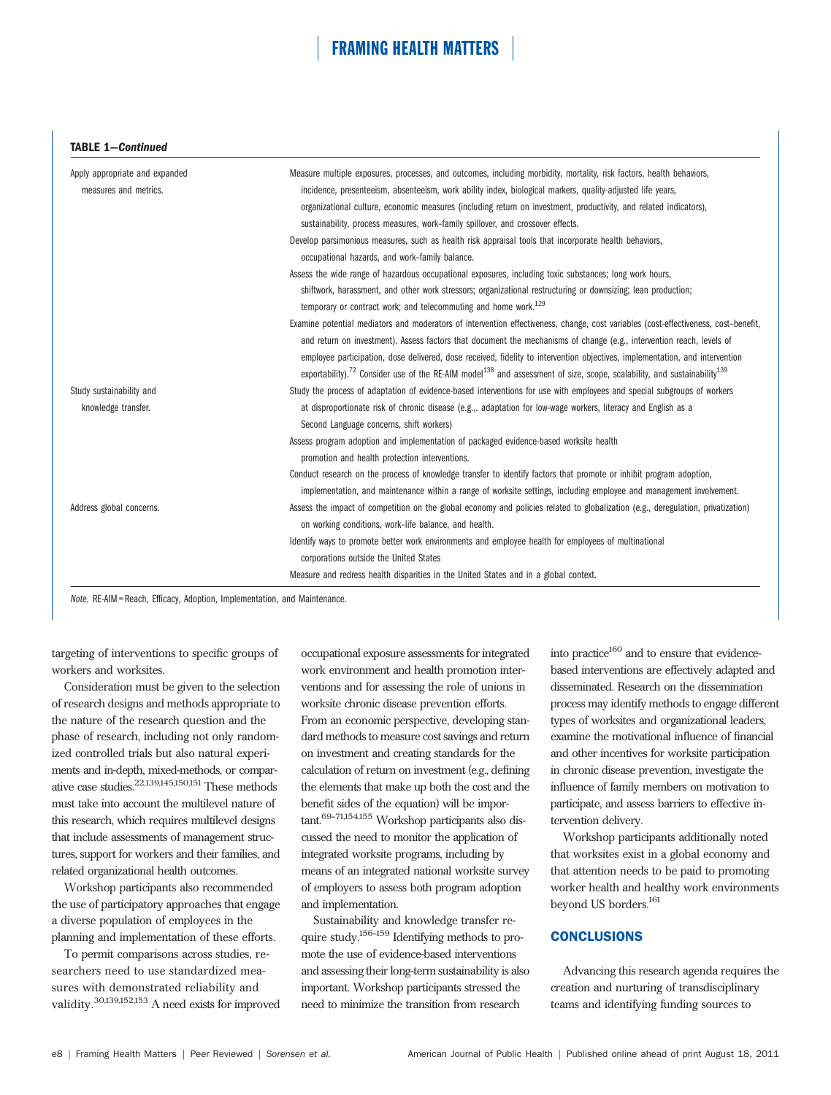#### TABLE 1—Continued

| Apply appropriate and expanded<br>measures and metrics. | Measure multiple exposures, processes, and outcomes, including morbidity, mortality, risk factors, health behaviors,<br>incidence, presenteeism, absenteeism, work ability index, biological markers, quality-adjusted life years,                                                                                                                                                                                   |
|---------------------------------------------------------|----------------------------------------------------------------------------------------------------------------------------------------------------------------------------------------------------------------------------------------------------------------------------------------------------------------------------------------------------------------------------------------------------------------------|
|                                                         | organizational culture, economic measures (including return on investment, productivity, and related indicators),                                                                                                                                                                                                                                                                                                    |
|                                                         | sustainability, process measures, work-family spillover, and crossover effects.                                                                                                                                                                                                                                                                                                                                      |
|                                                         | Develop parsimonious measures, such as health risk appraisal tools that incorporate health behaviors,                                                                                                                                                                                                                                                                                                                |
|                                                         | occupational hazards, and work-family balance.                                                                                                                                                                                                                                                                                                                                                                       |
|                                                         | Assess the wide range of hazardous occupational exposures, including toxic substances; long work hours,                                                                                                                                                                                                                                                                                                              |
|                                                         | shiftwork, harassment, and other work stressors; organizational restructuring or downsizing; lean production;<br>temporary or contract work; and telecommuting and home work. <sup>129</sup>                                                                                                                                                                                                                         |
|                                                         | Examine potential mediators and moderators of intervention effectiveness, change, cost variables (cost-effectiveness, cost-benefit,                                                                                                                                                                                                                                                                                  |
|                                                         | and return on investment). Assess factors that document the mechanisms of change (e.g., intervention reach, levels of<br>employee participation, dose delivered, dose received, fidelity to intervention objectives, implementation, and intervention<br>exportability). <sup>72</sup> Consider use of the RE-AIM model <sup>138</sup> and assessment of size, scope, scalability, and sustainability <sup>139</sup> |
| Study sustainability and                                | Study the process of adaptation of evidence-based interventions for use with employees and special subgroups of workers                                                                                                                                                                                                                                                                                              |
| knowledge transfer.                                     | at disproportionate risk of chronic disease (e.g., adaptation for low-wage workers, literacy and English as a                                                                                                                                                                                                                                                                                                        |
|                                                         | Second Language concerns, shift workers)                                                                                                                                                                                                                                                                                                                                                                             |
|                                                         | Assess program adoption and implementation of packaged evidence-based worksite health                                                                                                                                                                                                                                                                                                                                |
|                                                         | promotion and health protection interventions.                                                                                                                                                                                                                                                                                                                                                                       |
|                                                         | Conduct research on the process of knowledge transfer to identify factors that promote or inhibit program adoption,                                                                                                                                                                                                                                                                                                  |
|                                                         | implementation, and maintenance within a range of worksite settings, including employee and management involvement.                                                                                                                                                                                                                                                                                                  |
| Address global concerns.                                | Assess the impact of competition on the global economy and policies related to globalization (e.g., deregulation, privatization)<br>on working conditions, work-life balance, and health.                                                                                                                                                                                                                            |
|                                                         | Identify ways to promote better work environments and employee health for employees of multinational                                                                                                                                                                                                                                                                                                                 |
|                                                         | corporations outside the United States                                                                                                                                                                                                                                                                                                                                                                               |
|                                                         | Measure and redress health disparities in the United States and in a global context.                                                                                                                                                                                                                                                                                                                                 |

Note. RE-AIM = Reach, Efficacy, Adoption, Implementation, and Maintenance.

targeting of interventions to specific groups of workers and worksites.

Consideration must be given to the selection of research designs and methods appropriate to the nature of the research question and the phase of research, including not only randomized controlled trials but also natural experiments and in-depth, mixed-methods, or comparative case studies.22,139,145,150,151 These methods must take into account the multilevel nature of this research, which requires multilevel designs that include assessments of management structures, support for workers and their families, and related organizational health outcomes.

Workshop participants also recommended the use of participatory approaches that engage a diverse population of employees in the planning and implementation of these efforts.

To permit comparisons across studies, researchers need to use standardized measures with demonstrated reliability and validity.30,139,152,153 A need exists for improved occupational exposure assessments for integrated work environment and health promotion interventions and for assessing the role of unions in worksite chronic disease prevention efforts. From an economic perspective, developing standard methods to measure cost savings and return on investment and creating standards for the calculation of return on investment (e.g., defining the elements that make up both the cost and the benefit sides of the equation) will be impor $tant.69-71,154,155$  Workshop participants also discussed the need to monitor the application of integrated worksite programs, including by means of an integrated national worksite survey of employers to assess both program adoption and implementation.

Sustainability and knowledge transfer require study.<sup>156-159</sup> Identifying methods to promote the use of evidence-based interventions and assessing their long-term sustainability is also important. Workshop participants stressed the need to minimize the transition from research

into practice<sup>160</sup> and to ensure that evidencebased interventions are effectively adapted and disseminated. Research on the dissemination process may identify methods to engage different types of worksites and organizational leaders, examine the motivational influence of financial and other incentives for worksite participation in chronic disease prevention, investigate the influence of family members on motivation to participate, and assess barriers to effective intervention delivery.

Workshop participants additionally noted that worksites exist in a global economy and that attention needs to be paid to promoting worker health and healthy work environments beyond US borders.<sup>161</sup>

#### CONCLUSIONS

Advancing this research agenda requires the creation and nurturing of transdisciplinary teams and identifying funding sources to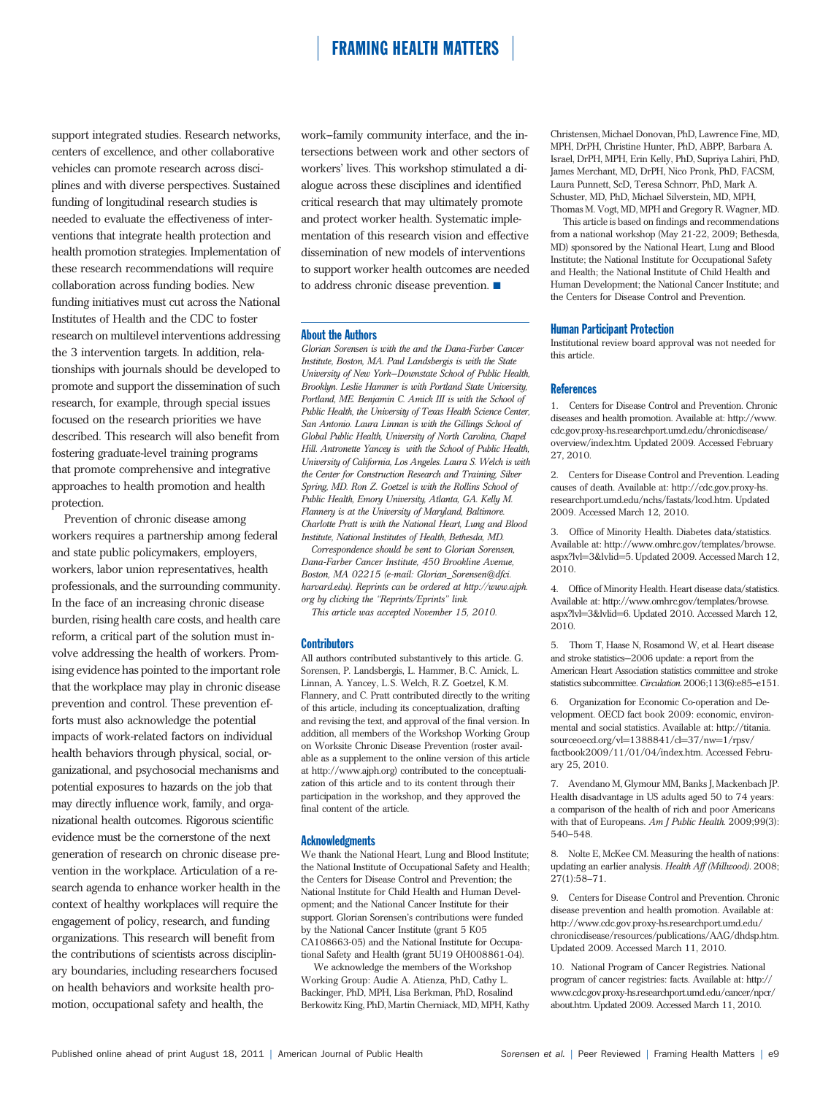support integrated studies. Research networks, centers of excellence, and other collaborative vehicles can promote research across disciplines and with diverse perspectives. Sustained funding of longitudinal research studies is needed to evaluate the effectiveness of interventions that integrate health protection and health promotion strategies. Implementation of these research recommendations will require collaboration across funding bodies. New funding initiatives must cut across the National Institutes of Health and the CDC to foster research on multilevel interventions addressing the 3 intervention targets. In addition, relationships with journals should be developed to promote and support the dissemination of such research, for example, through special issues focused on the research priorities we have described. This research will also benefit from fostering graduate-level training programs that promote comprehensive and integrative approaches to health promotion and health protection.

Prevention of chronic disease among workers requires a partnership among federal and state public policymakers, employers, workers, labor union representatives, health professionals, and the surrounding community. In the face of an increasing chronic disease burden, rising health care costs, and health care reform, a critical part of the solution must involve addressing the health of workers. Promising evidence has pointed to the important role that the workplace may play in chronic disease prevention and control. These prevention efforts must also acknowledge the potential impacts of work-related factors on individual health behaviors through physical, social, organizational, and psychosocial mechanisms and potential exposures to hazards on the job that may directly influence work, family, and organizational health outcomes. Rigorous scientific evidence must be the cornerstone of the next generation of research on chronic disease prevention in the workplace. Articulation of a research agenda to enhance worker health in the context of healthy workplaces will require the engagement of policy, research, and funding organizations. This research will benefit from the contributions of scientists across disciplinary boundaries, including researchers focused on health behaviors and worksite health promotion, occupational safety and health, the

work-family community interface, and the intersections between work and other sectors of workers' lives. This workshop stimulated a dialogue across these disciplines and identified critical research that may ultimately promote and protect worker health. Systematic implementation of this research vision and effective dissemination of new models of interventions to support worker health outcomes are needed to address chronic disease prevention.  $\blacksquare$ 

#### About the Authors

Glorian Sorensen is with the and the Dana-Farber Cancer Institute, Boston, MA. Paul Landsbergis is with the State University of New York-Downstate School of Public Health, Brooklyn. Leslie Hammer is with Portland State University, Portland, ME. Benjamin C. Amick III is with the School of Public Health, the University of Texas Health Science Center, San Antonio. Laura Linnan is with the Gillings School of Global Public Health, University of North Carolina, Chapel Hill. Antronette Yancey is with the School of Public Health, University of California, Los Angeles. Laura S. Welch is with the Center for Construction Research and Training, Silver Spring, MD. Ron Z. Goetzel is with the Rollins School of Public Health, Emory University, Atlanta, GA. Kelly M. Flannery is at the University of Maryland, Baltimore. Charlotte Pratt is with the National Heart, Lung and Blood Institute, National Institutes of Health, Bethesda, MD.

Correspondence should be sent to Glorian Sorensen, Dana-Farber Cancer Institute, 450 Brookline Avenue, Boston, MA 02215 (e-mail: Glorian\_Sorensen@dfci. harvard.edu). Reprints can be ordered at http://www.ajph. org by clicking the ''Reprints/Eprints'' link.

This article was accepted November 15, 2010.

#### **Contributors**

All authors contributed substantively to this article. G. Sorensen, P. Landsbergis, L. Hammer, B. C. Amick, L. Linnan, A. Yancey, L. S. Welch, R. Z. Goetzel, K. M. Flannery, and C. Pratt contributed directly to the writing of this article, including its conceptualization, drafting and revising the text, and approval of the final version. In addition, all members of the Workshop Working Group on Worksite Chronic Disease Prevention (roster available as a supplement to the online version of this article at http://www.ajph.org) contributed to the conceptualization of this article and to its content through their participation in the workshop, and they approved the final content of the article.

#### Acknowledgments

We thank the National Heart, Lung and Blood Institute; the National Institute of Occupational Safety and Health; the Centers for Disease Control and Prevention; the National Institute for Child Health and Human Development; and the National Cancer Institute for their support. Glorian Sorensen's contributions were funded by the National Cancer Institute (grant 5 K05 CA108663-05) and the National Institute for Occupational Safety and Health (grant 5U19 OH008861-04).

We acknowledge the members of the Workshop Working Group: Audie A. Atienza, PhD, Cathy L. Backinger, PhD, MPH, Lisa Berkman, PhD, Rosalind Berkowitz King, PhD, Martin Cherniack, MD, MPH, Kathy

Christensen, Michael Donovan, PhD, Lawrence Fine, MD, MPH, DrPH, Christine Hunter, PhD, ABPP, Barbara A. Israel, DrPH, MPH, Erin Kelly, PhD, Supriya Lahiri, PhD, James Merchant, MD, DrPH, Nico Pronk, PhD, FACSM, Laura Punnett, ScD, Teresa Schnorr, PhD, Mark A. Schuster, MD, PhD, Michael Silverstein, MD, MPH, Thomas M. Vogt, MD, MPH and Gregory R. Wagner, MD.

This article is based on findings and recommendations from a national workshop (May 21-22, 2009; Bethesda, MD) sponsored by the National Heart, Lung and Blood Institute; the National Institute for Occupational Safety and Health; the National Institute of Child Health and Human Development; the National Cancer Institute; and the Centers for Disease Control and Prevention.

#### Human Participant Protection

Institutional review board approval was not needed for this article.

#### References

1. Centers for Disease Control and Prevention. Chronic diseases and health promotion. Available at: http://www. cdc.gov.proxy-hs.researchport.umd.edu/chronicdisease/ overview/index.htm. Updated 2009. Accessed February 27, 2010.

2. Centers for Disease Control and Prevention. Leading causes of death. Available at: http://cdc.gov.proxy-hs. researchport.umd.edu/nchs/fastats/lcod.htm. Updated 2009. Accessed March 12, 2010.

3. Office of Minority Health. Diabetes data/statistics. Available at: http://www.omhrc.gov/templates/browse. aspx?lvl=3&lvlid=5. Updated 2009. Accessed March 12, 2010.

4. Office of Minority Health. Heart disease data/statistics. Available at: http://www.omhrc.gov/templates/browse. aspx?lvl=3&lvlid=6. Updated 2010. Accessed March 12, 2010.

5. Thom T, Haase N, Rosamond W, et al. Heart disease and stroke statistics––2006 update: a report from the American Heart Association statistics committee and stroke statistics subcommittee. Circulation. 2006;113(6):e85-e151.

6. Organization for Economic Co-operation and Development. OECD fact book 2009: economic, environmental and social statistics. Available at: http://titania. sourceoecd.org/vl=1388841/cl=37/nw=1/rpsv/ factbook2009/11/01/04/index.htm. Accessed February 25, 2010.

7. Avendano M, Glymour MM, Banks J, Mackenbach JP. Health disadvantage in US adults aged 50 to 74 years: a comparison of the health of rich and poor Americans with that of Europeans. Am J Public Health. 2009;99(3): 540-548.

8. Nolte E, McKee CM. Measuring the health of nations: updating an earlier analysis. Health Aff (Millwood). 2008;  $27(1):58 - 71.$ 

9. Centers for Disease Control and Prevention. Chronic disease prevention and health promotion. Available at: http://www.cdc.gov.proxy-hs.researchport.umd.edu/ chronicdisease/resources/publications/AAG/dhdsp.htm. Updated 2009. Accessed March 11, 2010.

10. National Program of Cancer Registries. National program of cancer registries: facts. Available at: http:// www.cdc.gov.proxy-hs.researchport.umd.edu/cancer/npcr/ about.htm. Updated 2009. Accessed March 11, 2010.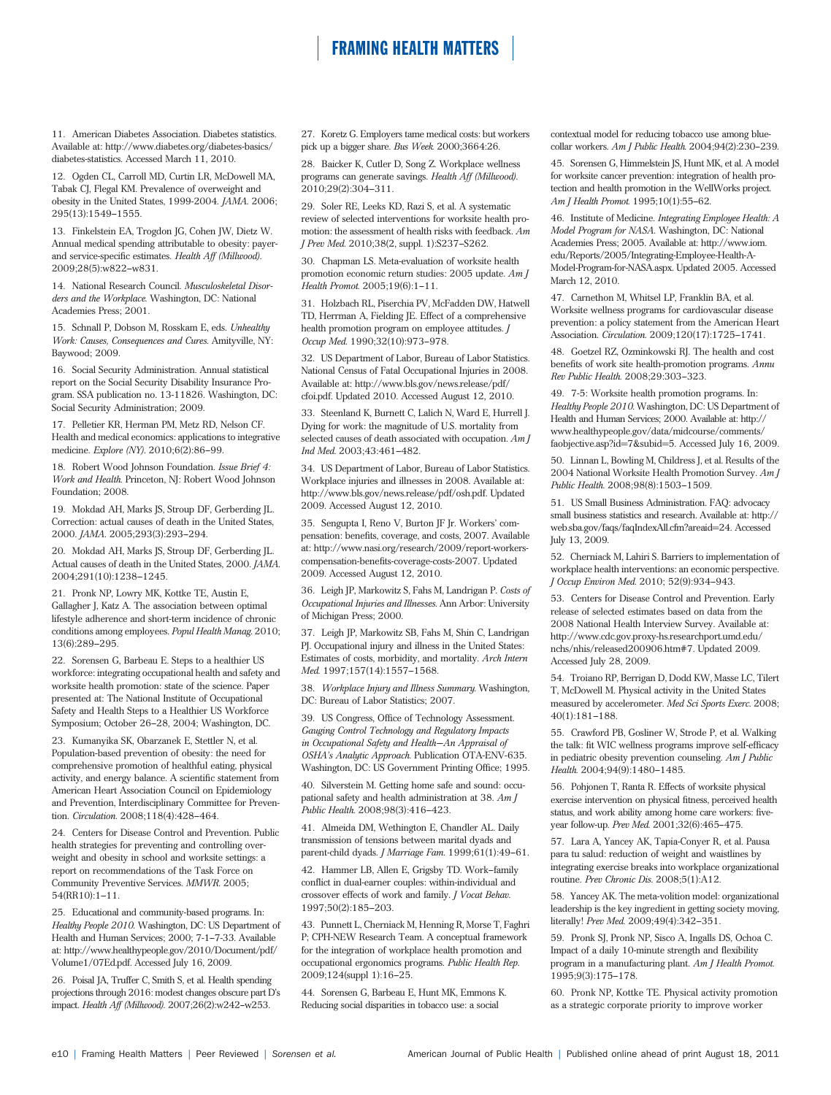11. American Diabetes Association. Diabetes statistics. Available at: http://www.diabetes.org/diabetes-basics/ diabetes-statistics. Accessed March 11, 2010.

12. Ogden CL, Carroll MD, Curtin LR, McDowell MA, Tabak CJ, Flegal KM. Prevalence of overweight and obesity in the United States, 1999-2004. JAMA. 2006;  $295(13):1549-1555.$ 

13. Finkelstein EA, Trogdon JG, Cohen JW, Dietz W. Annual medical spending attributable to obesity: payerand service-specific estimates. Health Aff (Millwood). 2009;28(5):w822-w831.

14. National Research Council. Musculoskeletal Disorders and the Workplace. Washington, DC: National Academies Press; 2001.

15. Schnall P, Dobson M, Rosskam E, eds. Unhealthy Work: Causes, Consequences and Cures. Amityville, NY: Baywood; 2009.

16. Social Security Administration. Annual statistical report on the Social Security Disability Insurance Program. SSA publication no. 13-11826. Washington, DC: Social Security Administration; 2009.

17. Pelletier KR, Herman PM, Metz RD, Nelson CF. Health and medical economics: applications to integrative medicine. Explore (NY). 2010;6(2):86-99.

18. Robert Wood Johnson Foundation. Issue Brief 4: Work and Health. Princeton, NJ: Robert Wood Johnson Foundation; 2008.

19. Mokdad AH, Marks JS, Stroup DF, Gerberding JL. Correction: actual causes of death in the United States, 2000. JAMA. 2005;293(3):293-294.

20. Mokdad AH, Marks JS, Stroup DF, Gerberding JL. Actual causes of death in the United States, 2000. JAMA. 2004;291(10):1238-1245.

21. Pronk NP, Lowry MK, Kottke TE, Austin E, Gallagher J, Katz A. The association between optimal lifestyle adherence and short-term incidence of chronic conditions among employees. Popul Health Manag. 2010;  $13(6) \cdot 289 - 295$ 

22. Sorensen G, Barbeau E. Steps to a healthier US workforce: integrating occupational health and safety and worksite health promotion: state of the science. Paper presented at: The National Institute of Occupational Safety and Health Steps to a Healthier US Workforce Symposium; October 26-28, 2004; Washington, DC.

23. Kumanyika SK, Obarzanek E, Stettler N, et al. Population-based prevention of obesity: the need for comprehensive promotion of healthful eating, physical activity, and energy balance. A scientific statement from American Heart Association Council on Epidemiology and Prevention, Interdisciplinary Committee for Prevention. Circulation. 2008:118(4):428-464.

24. Centers for Disease Control and Prevention. Public health strategies for preventing and controlling overweight and obesity in school and worksite settings: a report on recommendations of the Task Force on Community Preventive Services. MMWR. 2005;  $54(RR10) \cdot 1 - 11$ 

25. Educational and community-based programs. In: Healthy People 2010. Washington, DC: US Department of Health and Human Services; 2000; 7-1-7-33. Available at: http://www.healthypeople.gov/2010/Document/pdf/ Volume1/07Ed.pdf. Accessed July 16, 2009.

26. Poisal JA, Truffer C, Smith S, et al. Health spending projections through 2016: modest changes obscure part D's impact. Health Aff (Millwood). 2007;26(2):w242-w253.

27. Koretz G. Employers tame medical costs: but workers pick up a bigger share. Bus Week. 2000;3664:26.

28. Baicker K, Cutler D, Song Z. Workplace wellness programs can generate savings. Health Aff (Millwood). 2010;29(2):304-311.

29. Soler RE, Leeks KD, Razi S, et al. A systematic review of selected interventions for worksite health promotion: the assessment of health risks with feedback. Am J Prev Med. 2010;38(2, suppl. 1):S237-S262.

30. Chapman LS. Meta-evaluation of worksite health promotion economic return studies: 2005 update. Am J Health Promot. 2005;19(6):1-11.

31. Holzbach RL, Piserchia PV, McFadden DW, Hatwell TD, Herrman A, Fielding JE. Effect of a comprehensive health promotion program on employee attitudes. J Occup Med. 1990;32(10):973-978.

32. US Department of Labor, Bureau of Labor Statistics. National Census of Fatal Occupational Injuries in 2008. Available at: http://www.bls.gov/news.release/pdf/ cfoi.pdf. Updated 2010. Accessed August 12, 2010.

33. Steenland K, Burnett C, Lalich N, Ward E, Hurrell J. Dying for work: the magnitude of U.S. mortality from selected causes of death associated with occupation. Am J Ind Med. 2003;43:461-482.

34. US Department of Labor, Bureau of Labor Statistics. Workplace injuries and illnesses in 2008. Available at: http://www.bls.gov/news.release/pdf/osh.pdf. Updated 2009. Accessed August 12, 2010.

35. Sengupta I, Reno V, Burton JF Jr. Workers' compensation: benefits, coverage, and costs, 2007. Available at: http://www.nasi.org/research/2009/report-workerscompensation-benefits-coverage-costs-2007. Updated 2009. Accessed August 12, 2010.

36. Leigh JP, Markowitz S, Fahs M, Landrigan P. Costs of Occupational Injuries and Illnesses. Ann Arbor: University of Michigan Press; 2000.

37. Leigh JP, Markowitz SB, Fahs M, Shin C, Landrigan PJ. Occupational injury and illness in the United States: Estimates of costs, morbidity, and mortality. Arch Intern Med. 1997;157(14):1557-1568.

38. Workplace Injury and Illness Summary. Washington, DC: Bureau of Labor Statistics; 2007.

39. US Congress, Office of Technology Assessment. Gauging Control Technology and Regulatory Impacts in Occupational Safety and Health–An Appraisal of OSHA's Analytic Approach. Publication OTA-ENV-635. Washington, DC: US Government Printing Office; 1995.

40. Silverstein M. Getting home safe and sound: occupational safety and health administration at 38. Am J Public Health. 2008;98(3):416-423.

41. Almeida DM, Wethington E, Chandler AL. Daily transmission of tensions between marital dyads and parent-child dyads. J Marriage Fam. 1999;61(1):49-61.

42. Hammer LB, Allen E, Grigsby TD. Work-family conflict in dual-earner couples: within-individual and crossover effects of work and family. J Vocat Behav. 1997;50(2):185-203.

43. Punnett L, Cherniack M, Henning R, Morse T, Faghri P; CPH-NEW Research Team. A conceptual framework for the integration of workplace health promotion and occupational ergonomics programs. Public Health Rep. 2009;124(suppl 1):16-25.

44. Sorensen G, Barbeau E, Hunt MK, Emmons K. Reducing social disparities in tobacco use: a social

contextual model for reducing tobacco use among bluecollar workers. Am J Public Health.  $2004;94(2):230-239$ .

45. Sorensen G, Himmelstein JS, Hunt MK, et al. A model for worksite cancer prevention: integration of health protection and health promotion in the WellWorks project. Am J Health Promot. 1995;10(1):55-62.

46. Institute of Medicine. Integrating Employee Health: A Model Program for NASA. Washington, DC: National Academies Press; 2005. Available at: http://www.iom. edu/Reports/2005/Integrating-Employee-Health-A-Model-Program-for-NASA.aspx. Updated 2005. Accessed March 12, 2010.

47. Carnethon M, Whitsel LP, Franklin BA, et al. Worksite wellness programs for cardiovascular disease prevention: a policy statement from the American Heart Association. Circulation. 2009;120(17):1725-1741

48. Goetzel RZ, Ozminkowski RJ. The health and cost benefits of work site health-promotion programs. Annu Rev Public Health. 2008;29:303-323.

49. 7-5: Worksite health promotion programs. In: Healthy People 2010. Washington, DC: US Department of Health and Human Services; 2000. Available at: http:// www.healthypeople.gov/data/midcourse/comments/ faobjective.asp?id=7&subid=5. Accessed July 16, 2009.

50. Linnan L, Bowling M, Childress J, et al. Results of the 2004 National Worksite Health Promotion Survey. Am J Public Health. 2008;98(8):1503-1509.

51. US Small Business Administration. FAQ: advocacy small business statistics and research. Available at: http:// web.sba.gov/faqs/faqIndexAll.cfm?areaid=24. Accessed July 13, 2009.

52. Cherniack M, Lahiri S. Barriers to implementation of workplace health interventions: an economic perspective. J Occup Environ Med. 2010; 52(9):934-943.

53. Centers for Disease Control and Prevention. Early release of selected estimates based on data from the 2008 National Health Interview Survey. Available at: http://www.cdc.gov.proxy-hs.researchport.umd.edu/ nchs/nhis/released200906.htm#7. Updated 2009. Accessed July 28, 2009.

54. Troiano RP, Berrigan D, Dodd KW, Masse LC, Tilert T, McDowell M. Physical activity in the United States measured by accelerometer. Med Sci Sports Exerc. 2008;  $40(1):181-188.$ 

55. Crawford PB, Gosliner W, Strode P, et al. Walking the talk: fit WIC wellness programs improve self-efficacy in pediatric obesity prevention counseling. Am J Public Health. 2004;94(9):1480-1485.

56. Pohjonen T, Ranta R. Effects of worksite physical exercise intervention on physical fitness, perceived health status, and work ability among home care workers: fiveyear follow-up. Prev Med. 2001;32(6):465-475.

57. Lara A, Yancey AK, Tapia-Conyer R, et al. Pausa para tu salud: reduction of weight and waistlines by integrating exercise breaks into workplace organizational routine. Prev Chronic Dis. 2008;5(1):A12.

58. Yancey AK. The meta-volition model: organizational leadership is the key ingredient in getting society moving, literally! Prev Med. 2009;49(4):342-351.

59. Pronk SJ, Pronk NP, Sisco A, Ingalls DS, Ochoa C. Impact of a daily 10-minute strength and flexibility program in a manufacturing plant. Am J Health Promot. 1995;9(3):175-178.

60. Pronk NP, Kottke TE. Physical activity promotion as a strategic corporate priority to improve worker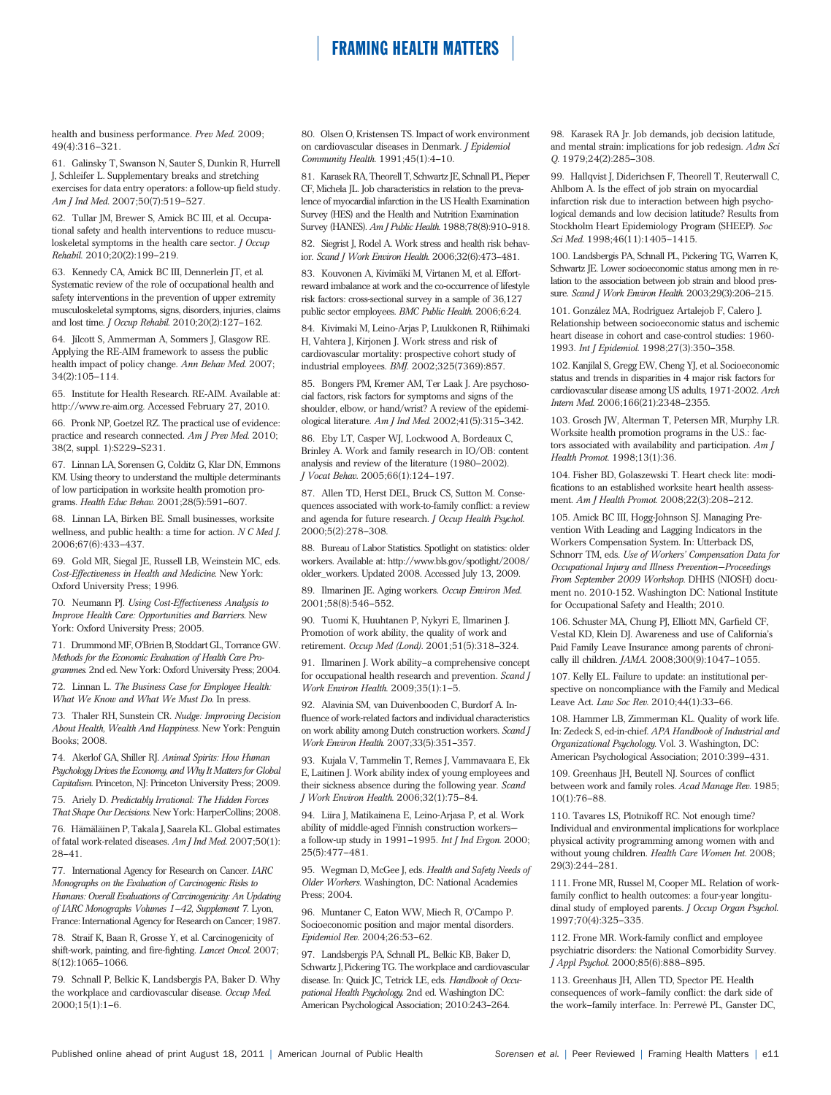health and business performance. Prev Med. 2009;  $49(4):316-321.$ 

61. Galinsky T, Swanson N, Sauter S, Dunkin R, Hurrell J, Schleifer L. Supplementary breaks and stretching exercises for data entry operators: a follow-up field study. Am J Ind Med. 2007;50(7):519-527.

62. Tullar JM, Brewer S, Amick BC III, et al. Occupational safety and health interventions to reduce musculoskeletal symptoms in the health care sector. J Occup Rehabil. 2010;20(2):199-219.

63. Kennedy CA, Amick BC III, Dennerlein JT, et al. Systematic review of the role of occupational health and safety interventions in the prevention of upper extremity musculoskeletal symptoms, signs, disorders, injuries, claims and lost time.  $J$  Occup Rehabil. 2010;20(2):127-162.

64. Jilcott S, Ammerman A, Sommers J, Glasgow RE. Applying the RE-AIM framework to assess the public health impact of policy change. Ann Behav Med. 2007;  $34(2):105 - 114.$ 

65. Institute for Health Research. RE-AIM. Available at: http://www.re-aim.org. Accessed February 27, 2010.

66. Pronk NP, Goetzel RZ. The practical use of evidence: practice and research connected. Am J Prev Med. 2010; 38(2, suppl. 1):S229-S231.

67. Linnan LA, Sorensen G, Colditz G, Klar DN, Emmons KM. Using theory to understand the multiple determinants of low participation in worksite health promotion programs. Health Educ Behav. 2001;28(5):591-607.

68. Linnan LA, Birken BE. Small businesses, worksite wellness, and public health: a time for action. N C Med J. 2006;67(6):433-437.

69. Gold MR, Siegal JE, Russell LB, Weinstein MC, eds. Cost-Effectiveness in Health and Medicine. New York: Oxford University Press; 1996.

70. Neumann PJ. Using Cost-Effectiveness Analysis to Improve Health Care: Opportunities and Barriers. New York: Oxford University Press; 2005.

71. Drummond MF, O'Brien B, Stoddart GL, Torrance GW. Methods for the Economic Evaluation of Health Care Programmes. 2nd ed. New York: Oxford University Press; 2004.

72. Linnan L. The Business Case for Employee Health: What We Know and What We Must Do. In press.

73. Thaler RH, Sunstein CR. Nudge: Improving Decision About Health, Wealth And Happiness. New York: Penguin Books; 2008.

74. Akerlof GA, Shiller RJ. Animal Spirits: How Human Psychology Drives the Economy, and Why It Matters for Global Capitalism. Princeton, NJ: Princeton University Press; 2009.

75. Ariely D. Predictably Irrational: The Hidden Forces That Shape Our Decisions. New York: HarperCollins; 2008.

76. Hämäläinen P, Takala J, Saarela KL. Global estimates of fatal work-related diseases. Am J Ind Med. 2007;50(1):  $28 - 41.$ 

77. International Agency for Research on Cancer. IARC Monographs on the Evaluation of Carcinogenic Risks to Humans: Overall Evaluations of Carcinogenicity: An Updating of IARC Monographs Volumes 1-42, Supplement 7. Lyon, France: International Agency for Research on Cancer; 1987.

78. Straif K, Baan R, Grosse Y, et al. Carcinogenicity of shift-work, painting, and fire-fighting. Lancet Oncol. 2007; 8(12):1065-1066.

79. Schnall P, Belkic K, Landsbergis PA, Baker D. Why the workplace and cardiovascular disease. Occup Med.  $2000:15(1):1-6.$ 

80. Olsen O, Kristensen TS. Impact of work environment on cardiovascular diseases in Denmark. J Epidemiol Community Health. 1991;45(1):4-10.

81. Karasek RA, Theorell T, Schwartz JE, Schnall PL, Pieper CF, Michela JL. Job characteristics in relation to the prevalence of myocardial infarction in the US Health Examination Survey (HES) and the Health and Nutrition Examination Survey (HANES). Am J Public Health. 1988;78(8):910-918.

82. Siegrist J, Rodel A. Work stress and health risk behavior. Scand J Work Environ Health. 2006;32(6):473-481.

83. Kouvonen A, Kivimäki M, Virtanen M, et al. Effortreward imbalance at work and the co-occurrence of lifestyle risk factors: cross-sectional survey in a sample of 36,127 public sector employees. BMC Public Health. 2006;6:24.

84. Kivimaki M, Leino-Arjas P, Luukkonen R, Riihimaki H, Vahtera J, Kirjonen J. Work stress and risk of cardiovascular mortality: prospective cohort study of industrial employees. BMJ. 2002;325(7369):857.

85. Bongers PM, Kremer AM, Ter Laak J. Are psychosocial factors, risk factors for symptoms and signs of the shoulder, elbow, or hand/wrist? A review of the epidemiological literature.  $AmJ$  Ind Med. 2002;41(5):315-342.

86. Eby LT, Casper WJ, Lockwood A, Bordeaux C, Brinley A. Work and family research in IO/OB: content analysis and review of the literature (1980-2002). J Vocat Behav. 2005;66(1):124-197.

87. Allen TD, Herst DEL, Bruck CS, Sutton M. Consequences associated with work-to-family conflict: a review and agenda for future research. J Occup Health Psychol. 2000;5(2):278-308.

88. Bureau of Labor Statistics. Spotlight on statistics: older workers. Available at: http://www.bls.gov/spotlight/2008/ older\_workers. Updated 2008. Accessed July 13, 2009.

89. Ilmarinen JE. Aging workers. Occup Environ Med. 2001;58(8):546-552.

90. Tuomi K, Huuhtanen P, Nykyri E, Ilmarinen J. Promotion of work ability, the quality of work and retirement. Occup Med (Lond). 2001;51(5):318-324.

91. Ilmarinen J. Work ability-a comprehensive concept for occupational health research and prevention. Scand J Work Environ Health. 2009:35(1):1-5.

92. Alavinia SM, van Duivenbooden C, Burdorf A. Influence of work-related factors and individual characteristics on work ability among Dutch construction workers. Scand J Work Environ Health. 2007;33(5):351-357.

93. Kujala V, Tammelin T, Remes J, Vammavaara E, Ek E, Laitinen J. Work ability index of young employees and their sickness absence during the following year. Scand J Work Environ Health. 2006;32(1):75-84.

94. Liira J, Matikainena E, Leino-Arjasa P, et al. Work ability of middle-aged Finnish construction workers–– a follow-up study in  $1991-1995$ . Int J Ind Ergon. 2000;  $25(5):477-481.$ 

95. Wegman D, McGee J, eds. Health and Safety Needs of Older Workers. Washington, DC: National Academies Press; 2004.

96. Muntaner C, Eaton WW, Miech R, O'Campo P. Socioeconomic position and major mental disorders. Epidemiol Rev. 2004;26:53-62.

97. Landsbergis PA, Schnall PL, Belkic KB, Baker D, Schwartz J, Pickering TG. The workplace and cardiovascular disease. In: Quick JC, Tetrick LE, eds. Handbook of Occupational Health Psychology. 2nd ed. Washington DC: American Psychological Association; 2010:243-264.

98. Karasek RA Jr. Job demands, job decision latitude, and mental strain: implications for job redesign. Adm Sci  $Q. 1979;24(2):285-308.$ 

99. Hallqvist J, Diderichsen F, Theorell T, Reuterwall C, Ahlbom A. Is the effect of job strain on myocardial infarction risk due to interaction between high psychological demands and low decision latitude? Results from Stockholm Heart Epidemiology Program (SHEEP). Soc Sci Med. 1998;46(11):1405-1415.

100. Landsbergis PA, Schnall PL, Pickering TG, Warren K, Schwartz JE. Lower socioeconomic status among men in relation to the association between job strain and blood pressure. Scand I Work Environ Health. 2003:29(3):206-215.

101. González MA, Rodríguez Artalejob F, Calero J. Relationship between socioeconomic status and ischemic heart disease in cohort and case-control studies: 1960- 1993. Int J Epidemiol. 1998;27(3):350-358.

102. Kanjilal S, Gregg EW, Cheng YJ, et al. Socioeconomic status and trends in disparities in 4 major risk factors for cardiovascular disease among US adults, 1971-2002. Arch Intern Med. 2006;166(21):2348-2355.

103. Grosch JW, Alterman T, Petersen MR, Murphy LR. Worksite health promotion programs in the U.S.: factors associated with availability and participation.  $Am<sub>I</sub>$ Health Promot. 1998;13(1):36.

104. Fisher BD, Golaszewski T. Heart check lite: modifications to an established worksite heart health assessment. Am J Health Promot. 2008;22(3):208-212.

105. Amick BC III, Hogg-Johnson SJ. Managing Prevention With Leading and Lagging Indicators in the Workers Compensation System. In: Utterback DS, Schnorr TM, eds. Use of Workers' Compensation Data for Occupational Injury and Illness Prevention-Proceedings From September 2009 Workshop. DHHS (NIOSH) document no. 2010-152. Washington DC: National Institute for Occupational Safety and Health; 2010.

106. Schuster MA, Chung PJ, Elliott MN, Garfield CF, Vestal KD, Klein DJ. Awareness and use of California's Paid Family Leave Insurance among parents of chronically ill children. JAMA. 2008;300(9):1047-1055.

107. Kelly EL. Failure to update: an institutional perspective on noncompliance with the Family and Medical Leave Act. Law Soc Rev. 2010;44(1):33-66.

108. Hammer LB, Zimmerman KL. Quality of work life. In: Zedeck S, ed-in-chief. APA Handbook of Industrial and Organizational Psychology. Vol. 3. Washington, DC: American Psychological Association; 2010:399-431.

109. Greenhaus JH, Beutell NJ. Sources of conflict between work and family roles. Acad Manage Rev. 1985;  $10(1):76-88$ 

110. Tavares LS, Plotnikoff RC. Not enough time? Individual and environmental implications for workplace physical activity programming among women with and without young children. Health Care Women Int. 2008; 29(3):244-281.

111. Frone MR, Russel M, Cooper ML. Relation of workfamily conflict to health outcomes: a four-year longitudinal study of employed parents. J Occup Organ Psychol. 1997;70(4):325-335.

112. Frone MR. Work-family conflict and employee psychiatric disorders: the National Comorbidity Survey. J Appl Psychol. 2000;85(6):888-895.

113. Greenhaus JH, Allen TD, Spector PE. Health consequences of work-family conflict: the dark side of the work-family interface. In: Perrewé PL, Ganster DC,